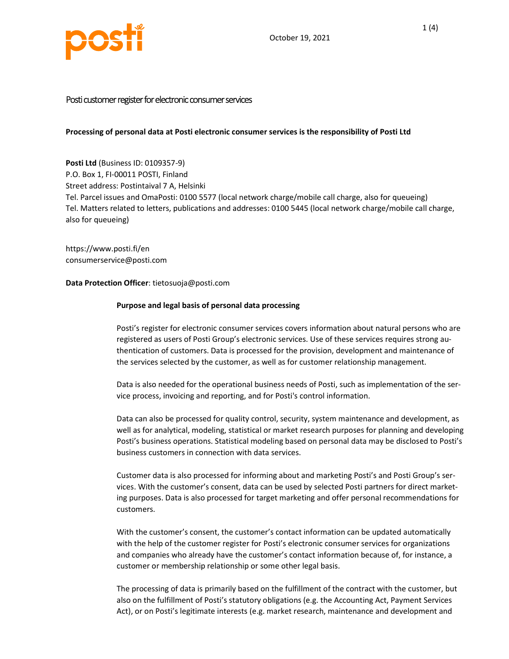

# Posti customer register for electronic consumer services

## Processing of personal data at Posti electronic consumer services is the responsibility of Posti Ltd

Posti Ltd (Business ID: 0109357-9) P.O. Box 1, FI-00011 POSTI, Finland Street address: Postintaival 7 A, Helsinki Tel. Parcel issues and OmaPosti: 0100 5577 (local network charge/mobile call charge, also for queueing) Tel. Matters related to letters, publications and addresses: 0100 5445 (local network charge/mobile call charge, also for queueing)

https://www.posti.fi/en consumerservice@posti.com

## Data Protection Officer: tietosuoja@posti.com

## Purpose and legal basis of personal data processing

Posti's register for electronic consumer services covers information about natural persons who are registered as users of Posti Group's electronic services. Use of these services requires strong authentication of customers. Data is processed for the provision, development and maintenance of the services selected by the customer, as well as for customer relationship management.

Data is also needed for the operational business needs of Posti, such as implementation of the service process, invoicing and reporting, and for Posti's control information.

Data can also be processed for quality control, security, system maintenance and development, as well as for analytical, modeling, statistical or market research purposes for planning and developing Posti's business operations. Statistical modeling based on personal data may be disclosed to Posti's business customers in connection with data services.

Customer data is also processed for informing about and marketing Posti's and Posti Group's services. With the customer's consent, data can be used by selected Posti partners for direct marketing purposes. Data is also processed for target marketing and offer personal recommendations for customers.

With the customer's consent, the customer's contact information can be updated automatically with the help of the customer register for Posti's electronic consumer services for organizations and companies who already have the customer's contact information because of, for instance, a customer or membership relationship or some other legal basis.

The processing of data is primarily based on the fulfillment of the contract with the customer, but also on the fulfillment of Posti's statutory obligations (e.g. the Accounting Act, Payment Services Act), or on Posti's legitimate interests (e.g. market research, maintenance and development and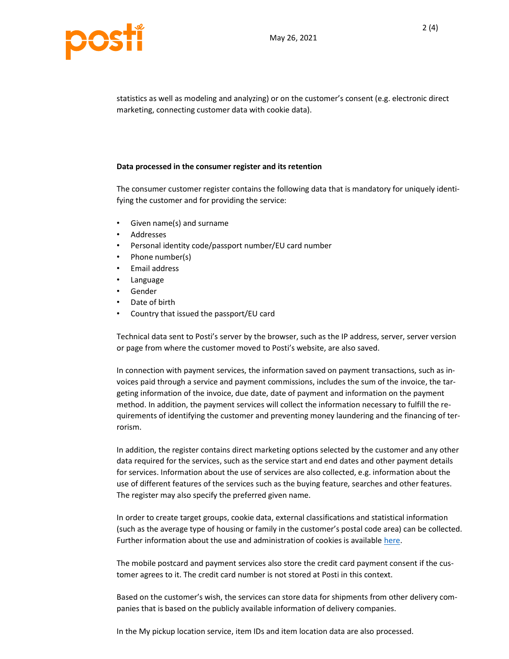



statistics as well as modeling and analyzing) or on the customer's consent (e.g. electronic direct marketing, connecting customer data with cookie data).

## Data processed in the consumer register and its retention

The consumer customer register contains the following data that is mandatory for uniquely identifying the customer and for providing the service:

- Given name(s) and surname
- Addresses
- Personal identity code/passport number/EU card number
- Phone number(s)
- Email address
- Language
- Gender
- Date of birth
- Country that issued the passport/EU card

Technical data sent to Posti's server by the browser, such as the IP address, server, server version or page from where the customer moved to Posti's website, are also saved.

In connection with payment services, the information saved on payment transactions, such as invoices paid through a service and payment commissions, includes the sum of the invoice, the targeting information of the invoice, due date, date of payment and information on the payment method. In addition, the payment services will collect the information necessary to fulfill the requirements of identifying the customer and preventing money laundering and the financing of terrorism.

In addition, the register contains direct marketing options selected by the customer and any other data required for the services, such as the service start and end dates and other payment details for services. Information about the use of services are also collected, e.g. information about the use of different features of the services such as the buying feature, searches and other features. The register may also specify the preferred given name.

In order to create target groups, cookie data, external classifications and statistical information (such as the average type of housing or family in the customer's postal code area) can be collected. Further information about the use and administration of cookies is available here.

The mobile postcard and payment services also store the credit card payment consent if the customer agrees to it. The credit card number is not stored at Posti in this context.

Based on the customer's wish, the services can store data for shipments from other delivery companies that is based on the publicly available information of delivery companies.

In the My pickup location service, item IDs and item location data are also processed.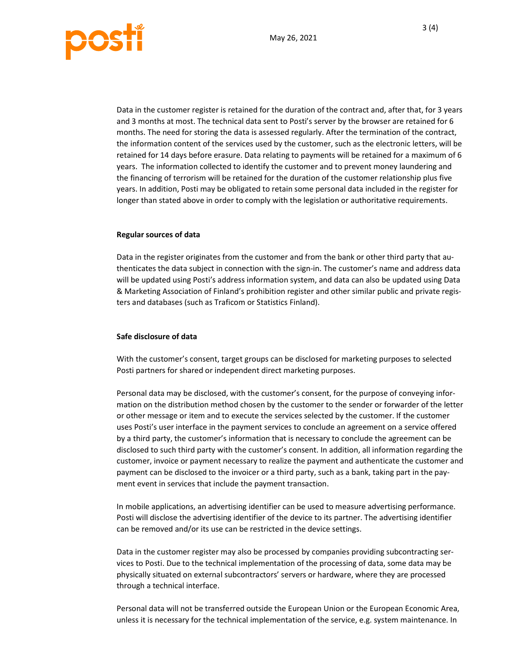

Data in the customer register is retained for the duration of the contract and, after that, for 3 years and 3 months at most. The technical data sent to Posti's server by the browser are retained for 6 months. The need for storing the data is assessed regularly. After the termination of the contract, the information content of the services used by the customer, such as the electronic letters, will be retained for 14 days before erasure. Data relating to payments will be retained for a maximum of 6 years. The information collected to identify the customer and to prevent money laundering and the financing of terrorism will be retained for the duration of the customer relationship plus five years. In addition, Posti may be obligated to retain some personal data included in the register for longer than stated above in order to comply with the legislation or authoritative requirements.

#### Regular sources of data

Data in the register originates from the customer and from the bank or other third party that authenticates the data subject in connection with the sign-in. The customer's name and address data will be updated using Posti's address information system, and data can also be updated using Data & Marketing Association of Finland's prohibition register and other similar public and private registers and databases (such as Traficom or Statistics Finland).

## Safe disclosure of data

With the customer's consent, target groups can be disclosed for marketing purposes to selected Posti partners for shared or independent direct marketing purposes.

Personal data may be disclosed, with the customer's consent, for the purpose of conveying information on the distribution method chosen by the customer to the sender or forwarder of the letter or other message or item and to execute the services selected by the customer. If the customer uses Posti's user interface in the payment services to conclude an agreement on a service offered by a third party, the customer's information that is necessary to conclude the agreement can be disclosed to such third party with the customer's consent. In addition, all information regarding the customer, invoice or payment necessary to realize the payment and authenticate the customer and payment can be disclosed to the invoicer or a third party, such as a bank, taking part in the payment event in services that include the payment transaction.

In mobile applications, an advertising identifier can be used to measure advertising performance. Posti will disclose the advertising identifier of the device to its partner. The advertising identifier can be removed and/or its use can be restricted in the device settings.

Data in the customer register may also be processed by companies providing subcontracting services to Posti. Due to the technical implementation of the processing of data, some data may be physically situated on external subcontractors' servers or hardware, where they are processed through a technical interface.

Personal data will not be transferred outside the European Union or the European Economic Area, unless it is necessary for the technical implementation of the service, e.g. system maintenance. In